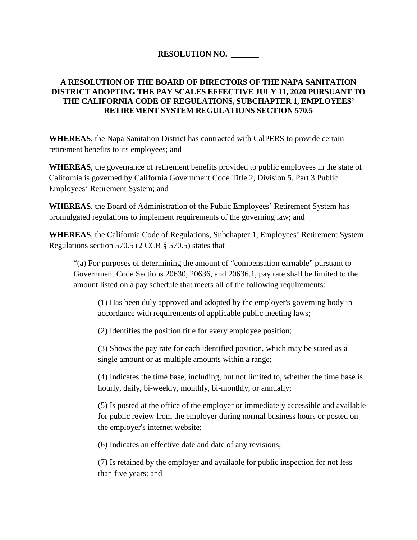## **RESOLUTION NO. \_\_\_\_\_\_\_**

## **A RESOLUTION OF THE BOARD OF DIRECTORS OF THE NAPA SANITATION DISTRICT ADOPTING THE PAY SCALES EFFECTIVE JULY 11, 2020 PURSUANT TO THE CALIFORNIA CODE OF REGULATIONS, SUBCHAPTER 1, EMPLOYEES' RETIREMENT SYSTEM REGULATIONS SECTION 570.5**

**WHEREAS**, the Napa Sanitation District has contracted with CalPERS to provide certain retirement benefits to its employees; and

**WHEREAS**, the governance of retirement benefits provided to public employees in the state of California is governed by California Government Code Title 2, Division 5, Part 3 Public Employees' Retirement System; and

**WHEREAS**, the Board of Administration of the Public Employees' Retirement System has promulgated regulations to implement requirements of the governing law; and

**WHEREAS**, the California Code of Regulations, Subchapter 1, Employees' Retirement System Regulations section 570.5 (2 CCR § 570.5) states that

"(a) For purposes of determining the amount of "compensation earnable" pursuant to Government Code Sections 20630, 20636, and 20636.1, pay rate shall be limited to the amount listed on a pay schedule that meets all of the following requirements:

(1) Has been duly approved and adopted by the employer's governing body in accordance with requirements of applicable public meeting laws;

(2) Identifies the position title for every employee position;

(3) Shows the pay rate for each identified position, which may be stated as a single amount or as multiple amounts within a range;

(4) Indicates the time base, including, but not limited to, whether the time base is hourly, daily, bi-weekly, monthly, bi-monthly, or annually;

(5) Is posted at the office of the employer or immediately accessible and available for public review from the employer during normal business hours or posted on the employer's internet website;

(6) Indicates an effective date and date of any revisions;

(7) Is retained by the employer and available for public inspection for not less than five years; and